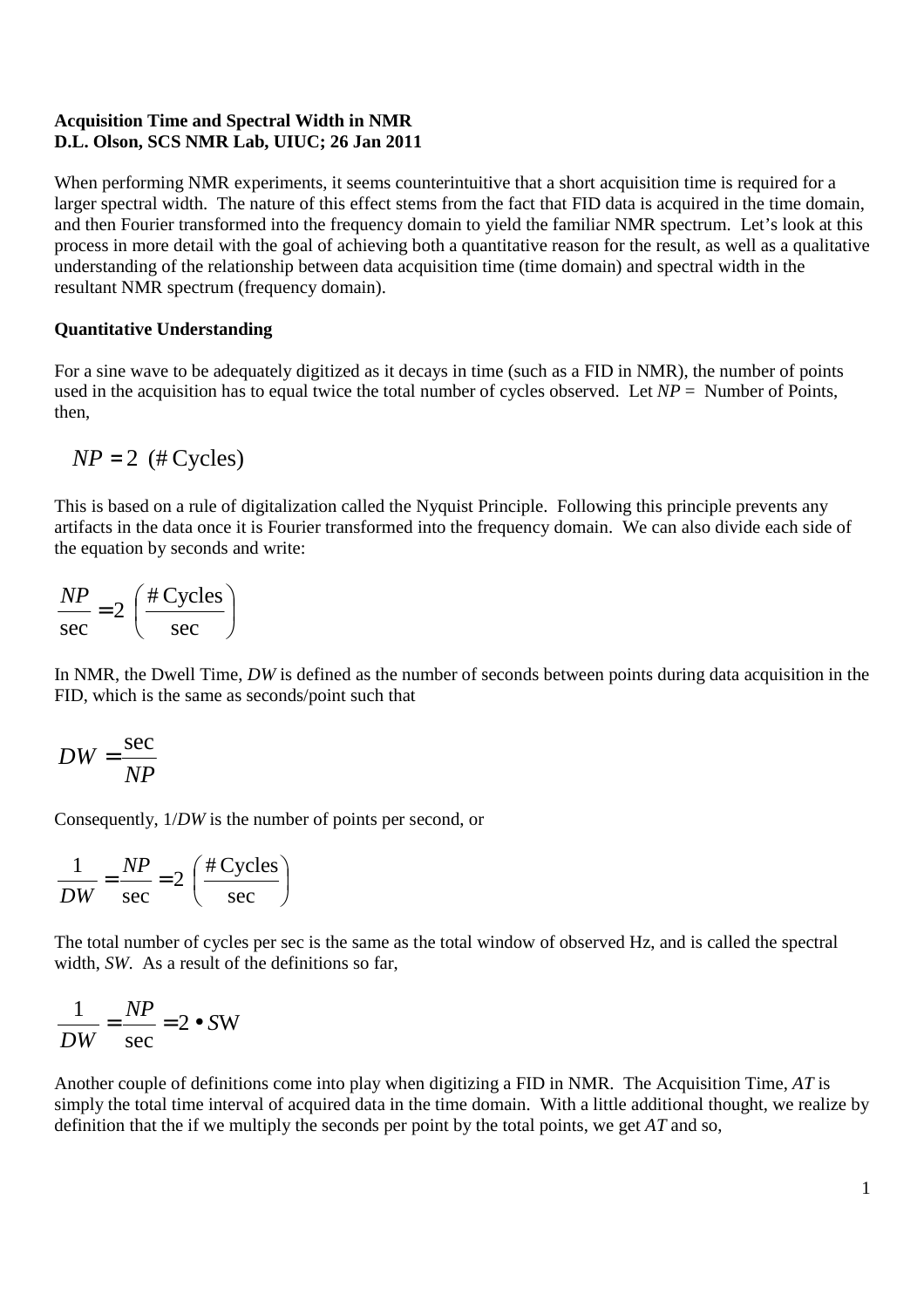## **Acquisition Time and Spectral Width in NMR D.L. Olson, SCS NMR Lab, UIUC; 26 Jan 2011**

When performing NMR experiments, it seems counterintuitive that a short acquisition time is required for a larger spectral width. The nature of this effect stems from the fact that FID data is acquired in the time domain, and then Fourier transformed into the frequency domain to yield the familiar NMR spectrum. Let's look at this process in more detail with the goal of achieving both a quantitative reason for the result, as well as a qualitative understanding of the relationship between data acquisition time (time domain) and spectral width in the resultant NMR spectrum (frequency domain).

## **Quantitative Understanding**

For a sine wave to be adequately digitized as it decays in time (such as a FID in NMR), the number of points used in the acquisition has to equal twice the total number of cycles observed. Let  $NP =$  Number of Points, then,

$$
NP = 2 \ (\# Cycles)
$$

This is based on a rule of digitalization called the Nyquist Principle. Following this principle prevents any artifacts in the data once it is Fourier transformed into the frequency domain. We can also divide each side of the equation by seconds and write:

$$
\frac{NP}{\text{sec}} = 2 \left( \frac{\text{\# Cycles}}{\text{sec}} \right)
$$

In NMR, the Dwell Time, *DW* is defined as the number of seconds between points during data acquisition in the FID, which is the same as seconds/point such that

$$
DW = \frac{\sec}{NP}
$$

Consequently, 1/*DW* is the number of points per second, or

$$
\frac{1}{DW} = \frac{NP}{\sec} = 2\left(\frac{\text{\# Cycles}}{\sec}\right)
$$

The total number of cycles per sec is the same as the total window of observed Hz, and is called the spectral width, *SW*. As a result of the definitions so far,

$$
\frac{1}{DW} = \frac{NP}{\sec} = 2 \bullet SW
$$

Another couple of definitions come into play when digitizing a FID in NMR. The Acquisition Time, *AT* is simply the total time interval of acquired data in the time domain. With a little additional thought, we realize by definition that the if we multiply the seconds per point by the total points, we get *AT* and so,